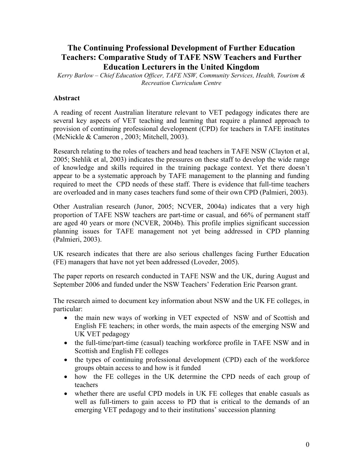# **The Continuing Professional Development of Further Education Teachers: Comparative Study of TAFE NSW Teachers and Further Education Lecturers in the United Kingdom**

*Kerry Barlow – Chief Education Officer, TAFE NSW, Community Services, Health, Tourism & Recreation Curriculum Centre* 

#### **Abstract**

A reading of recent Australian literature relevant to VET pedagogy indicates there are several key aspects of VET teaching and learning that require a planned approach to provision of continuing professional development (CPD) for teachers in TAFE institutes (McNickle & Cameron , 2003; Mitchell, 2003).

Research relating to the roles of teachers and head teachers in TAFE NSW (Clayton et al, 2005; Stehlik et al, 2003) indicates the pressures on these staff to develop the wide range of knowledge and skills required in the training package context. Yet there doesn't appear to be a systematic approach by TAFE management to the planning and funding required to meet the CPD needs of these staff. There is evidence that full-time teachers are overloaded and in many cases teachers fund some of their own CPD (Palmieri, 2003).

Other Australian research (Junor, 2005; NCVER, 2004a) indicates that a very high proportion of TAFE NSW teachers are part-time or casual, and 66% of permanent staff are aged 40 years or more (NCVER, 2004b). This profile implies significant succession planning issues for TAFE management not yet being addressed in CPD planning (Palmieri, 2003).

UK research indicates that there are also serious challenges facing Further Education (FE) managers that have not yet been addressed (Loveder, 2005).

The paper reports on research conducted in TAFE NSW and the UK, during August and September 2006 and funded under the NSW Teachers' Federation Eric Pearson grant.

The research aimed to document key information about NSW and the UK FE colleges, in particular:

- the main new ways of working in VET expected of NSW and of Scottish and English FE teachers; in other words, the main aspects of the emerging NSW and UK VET pedagogy
- the full-time/part-time (casual) teaching workforce profile in TAFE NSW and in Scottish and English FE colleges
- the types of continuing professional development (CPD) each of the workforce groups obtain access to and how is it funded
- how the FE colleges in the UK determine the CPD needs of each group of teachers
- whether there are useful CPD models in UK FE colleges that enable casuals as well as full-timers to gain access to PD that is critical to the demands of an emerging VET pedagogy and to their institutions' succession planning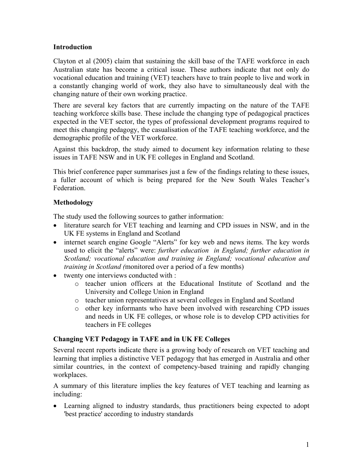### **Introduction**

Clayton et al (2005) claim that sustaining the skill base of the TAFE workforce in each Australian state has become a critical issue. These authors indicate that not only do vocational education and training (VET) teachers have to train people to live and work in a constantly changing world of work, they also have to simultaneously deal with the changing nature of their own working practice.

There are several key factors that are currently impacting on the nature of the TAFE teaching workforce skills base. These include the changing type of pedagogical practices expected in the VET sector, the types of professional development programs required to meet this changing pedagogy, the casualisation of the TAFE teaching workforce, and the demographic profile of the VET workforce.

Against this backdrop, the study aimed to document key information relating to these issues in TAFE NSW and in UK FE colleges in England and Scotland.

This brief conference paper summarises just a few of the findings relating to these issues, a fuller account of which is being prepared for the New South Wales Teacher's Federation.

## **Methodology**

The study used the following sources to gather information:

- literature search for VET teaching and learning and CPD issues in NSW, and in the UK FE systems in England and Scotland
- internet search engine Google "Alerts" for key web and news items. The key words used to elicit the "alerts" were: *further education in England; further education in Scotland; vocational education and training in England; vocational education and training in Scotland (*monitored over a period of a few months)
- twenty one interviews conducted with :
	- o teacher union officers at the Educational Institute of Scotland and the University and College Union in England
	- o teacher union representatives at several colleges in England and Scotland
	- o other key informants who have been involved with researching CPD issues and needs in UK FE colleges, or whose role is to develop CPD activities for teachers in FE colleges

### **Changing VET Pedagogy in TAFE and in UK FE Colleges**

Several recent reports indicate there is a growing body of research on VET teaching and learning that implies a distinctive VET pedagogy that has emerged in Australia and other similar countries, in the context of competency-based training and rapidly changing workplaces.

A summary of this literature implies the key features of VET teaching and learning as including:

• Learning aligned to industry standards, thus practitioners being expected to adopt 'best practice' according to industry standards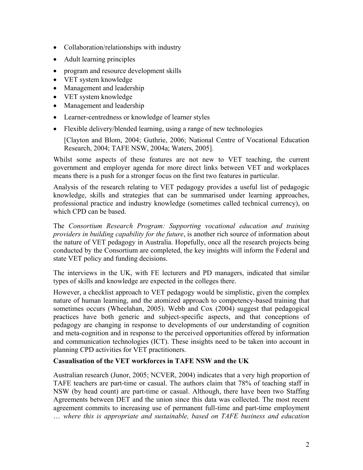- Collaboration/relationships with industry
- Adult learning principles
- program and resource development skills
- VET system knowledge
- Management and leadership
- VET system knowledge
- Management and leadership
- Learner-centredness or knowledge of learner styles
- Flexible delivery/blended learning, using a range of new technologies

[Clayton and Blom, 2004; Guthrie, 2006; National Centre of Vocational Education Research, 2004; TAFE NSW, 2004a; Waters, 2005].

Whilst some aspects of these features are not new to VET teaching, the current government and employer agenda for more direct links between VET and workplaces means there is a push for a stronger focus on the first two features in particular.

Analysis of the research relating to VET pedagogy provides a useful list of pedagogic knowledge, skills and strategies that can be summarised under learning approaches, professional practice and industry knowledge (sometimes called technical currency), on which CPD can be based.

The *Consortium Research Program: Supporting vocational education and training providers in building capability for the future*, is another rich source of information about the nature of VET pedagogy in Australia. Hopefully, once all the research projects being conducted by the Consortium are completed, the key insights will inform the Federal and state VET policy and funding decisions.

The interviews in the UK, with FE lecturers and PD managers, indicated that similar types of skills and knowledge are expected in the colleges there.

However, a checklist approach to VET pedagogy would be simplistic, given the complex nature of human learning, and the atomized approach to competency-based training that sometimes occurs (Wheelahan, 2005). Webb and Cox (2004) suggest that pedagogical practices have both generic and subject-specific aspects, and that conceptions of pedagogy are changing in response to developments of our understanding of cognition and meta-cognition and in response to the perceived opportunities offered by information and communication technologies (ICT). These insights need to be taken into account in planning CPD activities for VET practitioners.

### **Casualisation of the VET workforces in TAFE NSW and the UK**

Australian research (Junor, 2005; NCVER, 2004) indicates that a very high proportion of TAFE teachers are part-time or casual. The authors claim that 78% of teaching staff in NSW (by head count) are part-time or casual. Although, there have been two Staffing Agreements between DET and the union since this data was collected. The most recent agreement commits to increasing use of permanent full-time and part-time employment … *where this is appropriate and sustainable, based on TAFE business and education*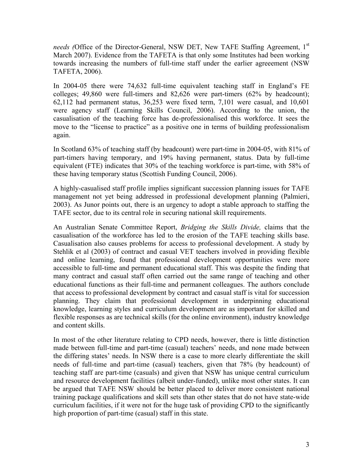*needs (Office of the Director-General, NSW DET, New TAFE Staffing Agreement, 1<sup>st</sup>* March 2007). Evidence from the TAFETA is that only some Institutes had been working towards increasing the numbers of full-time staff under the earlier agreeement (NSW TAFETA, 2006).

In 2004-05 there were 74,632 full-time equivalent teaching staff in England's FE colleges; 49,860 were full-timers and 82,626 were part-timers (62% by headcount); 62,112 had permanent status, 36,253 were fixed term, 7,101 were casual, and 10,601 were agency staff (Learning Skills Council, 2006). According to the union, the casualisation of the teaching force has de-professionalised this workforce. It sees the move to the "license to practice" as a positive one in terms of building professionalism again.

In Scotland 63% of teaching staff (by headcount) were part-time in 2004-05, with 81% of part-timers having temporary, and 19% having permanent, status. Data by full-time equivalent (FTE) indicates that 30% of the teaching workforce is part-time, with 58% of these having temporary status (Scottish Funding Council, 2006).

A highly-casualised staff profile implies significant succession planning issues for TAFE management not yet being addressed in professional development planning (Palmieri, 2003). As Junor points out, there is an urgency to adopt a stable approach to staffing the TAFE sector, due to its central role in securing national skill requirements.

An Australian Senate Committee Report, *Bridging the Skills Divide,* claims that the casualisation of the workforce has led to the erosion of the TAFE teaching skills base. Casualisation also causes problems for access to professional development. A study by Stehlik et al (2003) of contract and casual VET teachers involved in providing flexible and online learning, found that professional development opportunities were more accessible to full-time and permanent educational staff. This was despite the finding that many contract and casual staff often carried out the same range of teaching and other educational functions as their full-time and permanent colleagues. The authors conclude that access to professional development by contract and casual staff is vital for succession planning. They claim that professional development in underpinning educational knowledge, learning styles and curriculum development are as important for skilled and flexible responses as are technical skills (for the online environment), industry knowledge and content skills.

In most of the other literature relating to CPD needs, however, there is little distinction made between full-time and part-time (casual) teachers' needs, and none made between the differing states' needs. In NSW there is a case to more clearly differentiate the skill needs of full-time and part-time (casual) teachers, given that 78% (by headcount) of teaching staff are part-time (casuals) and given that NSW has unique central curriculum and resource development facilities (albeit under-funded), unlike most other states. It can be argued that TAFE NSW should be better placed to deliver more consistent national training package qualifications and skill sets than other states that do not have state-wide curriculum facilities, if it were not for the huge task of providing CPD to the significantly high proportion of part-time (casual) staff in this state.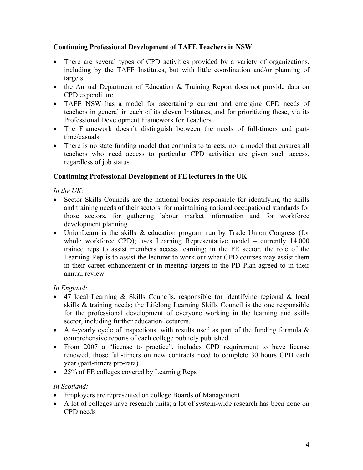### **Continuing Professional Development of TAFE Teachers in NSW**

- There are several types of CPD activities provided by a variety of organizations, including by the TAFE Institutes, but with little coordination and/or planning of targets
- the Annual Department of Education & Training Report does not provide data on CPD expenditure.
- TAFE NSW has a model for ascertaining current and emerging CPD needs of teachers in general in each of its eleven Institutes, and for prioritizing these, via its Professional Development Framework for Teachers.
- The Framework doesn't distinguish between the needs of full-timers and parttime/casuals.
- There is no state funding model that commits to targets, nor a model that ensures all teachers who need access to particular CPD activities are given such access, regardless of job status.

## **Continuing Professional Development of FE lecturers in the UK**

*In the UK:* 

- Sector Skills Councils are the national bodies responsible for identifying the skills and training needs of their sectors, for maintaining national occupational standards for those sectors, for gathering labour market information and for workforce development planning
- UnionLearn is the skills & education program run by Trade Union Congress (for whole workforce CPD); uses Learning Representative model – currently 14,000 trained reps to assist members access learning; in the FE sector, the role of the Learning Rep is to assist the lecturer to work out what CPD courses may assist them in their career enhancement or in meeting targets in the PD Plan agreed to in their annual review.

## *In England:*

- 47 local Learning & Skills Councils, responsible for identifying regional & local skills & training needs; the Lifelong Learning Skills Council is the one responsible for the professional development of everyone working in the learning and skills sector, including further education lecturers.
- A 4-yearly cycle of inspections, with results used as part of the funding formula  $\&$ comprehensive reports of each college publicly published
- From 2007 a "license to practice", includes CPD requirement to have license renewed; those full-timers on new contracts need to complete 30 hours CPD each year (part-timers pro-rata)
- 25% of FE colleges covered by Learning Reps

## *In Scotland:*

- Employers are represented on college Boards of Management
- A lot of colleges have research units; a lot of system-wide research has been done on CPD needs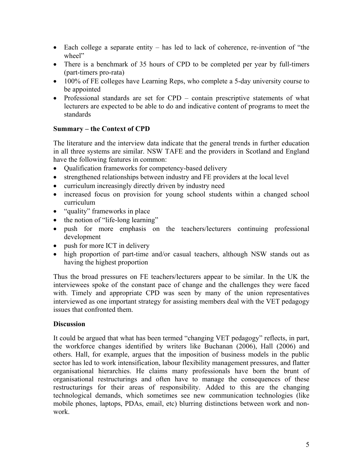- Each college a separate entity has led to lack of coherence, re-invention of "the wheel"
- There is a benchmark of 35 hours of CPD to be completed per year by full-timers (part-timers pro-rata)
- 100% of FE colleges have Learning Reps, who complete a 5-day university course to be appointed
- Professional standards are set for CPD contain prescriptive statements of what lecturers are expected to be able to do and indicative content of programs to meet the standards

## **Summary – the Context of CPD**

The literature and the interview data indicate that the general trends in further education in all three systems are similar. NSW TAFE and the providers in Scotland and England have the following features in common:

- Oualification frameworks for competency-based delivery
- strengthened relationships between industry and FE providers at the local level
- curriculum increasingly directly driven by industry need
- increased focus on provision for young school students within a changed school curriculum
- "quality" frameworks in place
- the notion of "life-long learning"
- push for more emphasis on the teachers/lecturers continuing professional development
- push for more ICT in delivery
- high proportion of part-time and/or casual teachers, although NSW stands out as having the highest proportion

Thus the broad pressures on FE teachers/lecturers appear to be similar. In the UK the interviewees spoke of the constant pace of change and the challenges they were faced with. Timely and appropriate CPD was seen by many of the union representatives interviewed as one important strategy for assisting members deal with the VET pedagogy issues that confronted them.

### **Discussion**

It could be argued that what has been termed "changing VET pedagogy" reflects, in part, the workforce changes identified by writers like Buchanan (2006), Hall (2006) and others. Hall, for example, argues that the imposition of business models in the public sector has led to work intensification, labour flexibility management pressures, and flatter organisational hierarchies. He claims many professionals have born the brunt of organisational restructurings and often have to manage the consequences of these restructurings for their areas of responsibility. Added to this are the changing technological demands, which sometimes see new communication technologies (like mobile phones, laptops, PDAs, email, etc) blurring distinctions between work and nonwork.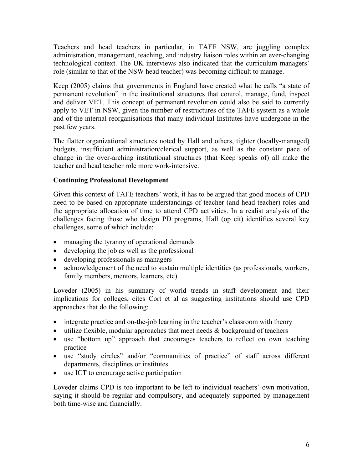Teachers and head teachers in particular, in TAFE NSW, are juggling complex administration, management, teaching, and industry liaison roles within an ever-changing technological context. The UK interviews also indicated that the curriculum managers' role (similar to that of the NSW head teacher) was becoming difficult to manage.

Keep (2005) claims that governments in England have created what he calls "a state of permanent revolution" in the institutional structures that control, manage, fund, inspect and deliver VET. This concept of permanent revolution could also be said to currently apply to VET in NSW, given the number of restructures of the TAFE system as a whole and of the internal reorganisations that many individual Institutes have undergone in the past few years.

The flatter organizational structures noted by Hall and others, tighter (locally-managed) budgets, insufficient administration/clerical support, as well as the constant pace of change in the over-arching institutional structures (that Keep speaks of) all make the teacher and head teacher role more work-intensive.

### **Continuing Professional Development**

Given this context of TAFE teachers' work, it has to be argued that good models of CPD need to be based on appropriate understandings of teacher (and head teacher) roles and the appropriate allocation of time to attend CPD activities. In a realist analysis of the challenges facing those who design PD programs, Hall (op cit) identifies several key challenges, some of which include:

- managing the tyranny of operational demands
- developing the job as well as the professional
- developing professionals as managers
- acknowledgement of the need to sustain multiple identities (as professionals, workers, family members, mentors, learners, etc)

Loveder (2005) in his summary of world trends in staff development and their implications for colleges, cites Cort et al as suggesting institutions should use CPD approaches that do the following:

- integrate practice and on-the-job learning in the teacher's classroom with theory
- utilize flexible, modular approaches that meet needs  $\&$  background of teachers
- use "bottom up" approach that encourages teachers to reflect on own teaching practice
- use "study circles" and/or "communities of practice" of staff across different departments, disciplines or institutes
- use ICT to encourage active participation

Loveder claims CPD is too important to be left to individual teachers' own motivation, saying it should be regular and compulsory, and adequately supported by management both time-wise and financially.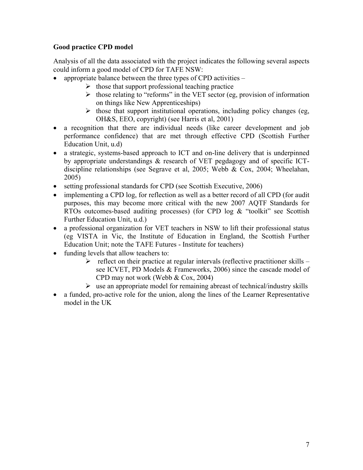## **Good practice CPD model**

Analysis of all the data associated with the project indicates the following several aspects could inform a good model of CPD for TAFE NSW:

- appropriate balance between the three types of CPD activities
	- $\triangleright$  those that support professional teaching practice
	- $\triangleright$  those relating to "reforms" in the VET sector (eg, provision of information on things like New Apprenticeships)
	- $\triangleright$  those that support institutional operations, including policy changes (eg, OH&S, EEO, copyright) (see Harris et al, 2001)
- a recognition that there are individual needs (like career development and job performance confidence) that are met through effective CPD (Scottish Further Education Unit, u.d)
- a strategic, systems-based approach to ICT and on-line delivery that is underpinned by appropriate understandings & research of VET pegdagogy and of specific ICTdiscipline relationships (see Segrave et al, 2005; Webb & Cox, 2004; Wheelahan, 2005)
- setting professional standards for CPD (see Scottish Executive, 2006)
- implementing a CPD log, for reflection as well as a better record of all CPD (for audit purposes, this may become more critical with the new 2007 AQTF Standards for RTOs outcomes-based auditing processes) (for CPD log & "toolkit" see Scottish Further Education Unit, u.d.)
- a professional organization for VET teachers in NSW to lift their professional status (eg VISTA in Vic, the Institute of Education in England, the Scottish Further Education Unit; note the TAFE Futures - Institute for teachers)
- funding levels that allow teachers to:
	- $\triangleright$  reflect on their practice at regular intervals (reflective practitioner skills see ICVET, PD Models & Frameworks, 2006) since the cascade model of CPD may not work (Webb & Cox, 2004)
	- $\triangleright$  use an appropriate model for remaining abreast of technical/industry skills
- a funded, pro-active role for the union, along the lines of the Learner Representative model in the UK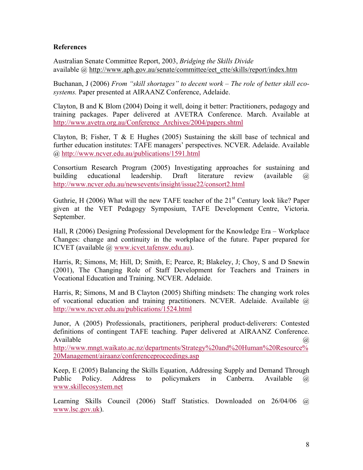#### **References**

Australian Senate Committee Report, 2003, *Bridging the Skills Divide* available @ http://www.aph.gov.au/senate/committee/eet\_ctte/skills/report/index.htm

Buchanan, J (2006) *From "skill shortages" to decent work – The role of better skill ecosystems.* Paper presented at AIRAANZ Conference, Adelaide.

Clayton, B and K Blom (2004) Doing it well, doing it better: Practitioners, pedagogy and training packages. Paper delivered at AVETRA Conference. March. Available at http://www.avetra.org.au/Conference\_Archives/2004/papers.shtml

Clayton, B; Fisher, T  $\&$  E Hughes (2005) Sustaining the skill base of technical and further education institutes: TAFE managers' perspectives. NCVER. Adelaide. Available @ http://www.ncver.edu.au/publications/1591.html

Consortium Research Program (2005) Investigating approaches for sustaining and building educational leadership. Draft literature review (available @ http://www.ncver.edu.au/newsevents/insight/issue22/consort2.html

Guthrie, H (2006) What will the new TAFE teacher of the  $21<sup>st</sup>$  Century look like? Paper given at the VET Pedagogy Symposium, TAFE Development Centre, Victoria. September.

Hall, R (2006) Designing Professional Development for the Knowledge Era – Workplace Changes: change and continuity in the workplace of the future. Paper prepared for ICVET (available @ www.icvet.tafensw.edu.au).

Harris, R; Simons, M; Hill, D; Smith, E; Pearce, R; Blakeley, J; Choy, S and D Snewin (2001), The Changing Role of Staff Development for Teachers and Trainers in Vocational Education and Training. NCVER. Adelaide.

Harris, R; Simons, M and B Clayton (2005) Shifting mindsets: The changing work roles of vocational education and training practitioners. NCVER. Adelaide. Available @ http://www.ncver.edu.au/publications/1524.html

Junor, A (2005) Professionals, practitioners, peripheral product-deliverers: Contested definitions of contingent TAFE teaching. Paper delivered at AIRAANZ Conference. Available  $\qquad \qquad \qquad \textcircled{a}$ 

http://www.mngt.waikato.ac.nz/departments/Strategy%20and%20Human%20Resource% 20Management/airaanz/conferenceproceedings.asp

Keep, E (2005) Balancing the Skills Equation, Addressing Supply and Demand Through Public Policy. Address to policymakers in Canberra. Available @ www.skillecosystem.net

Learning Skills Council (2006) Staff Statistics. Downloaded on 26/04/06 @ www.lsc.gov.uk).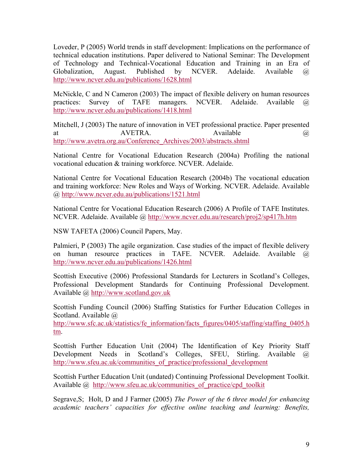Loveder, P (2005) World trends in staff development: Implications on the performance of technical education institutions. Paper delivered to National Seminar: The Development of Technology and Technical-Vocational Education and Training in an Era of Globalization, August. Published by NCVER. Adelaide. Available @ http://www.ncver.edu.au/publications/1628.html

McNickle, C and N Cameron (2003) The impact of flexible delivery on human resources practices: Survey of TAFE managers. NCVER. Adelaide. Available @ http://www.ncver.edu.au/publications/1418.html

Mitchell, J (2003) The nature of innovation in VET professional practice. Paper presented at AVETRA. Available a contract and a set of  $\alpha$ http://www.avetra.org.au/Conference\_Archives/2003/abstracts.shtml

National Centre for Vocational Education Research (2004a) Profiling the national vocational education & training workforce. NCVER. Adelaide.

National Centre for Vocational Education Research (2004b) The vocational education and training workforce: New Roles and Ways of Working. NCVER. Adelaide. Available @ http://www.ncver.edu.au/publications/1521.html

National Centre for Vocational Education Research (2006) A Profile of TAFE Institutes. NCVER. Adelaide. Available @ http://www.ncver.edu.au/research/proj2/sp417h.htm

NSW TAFETA (2006) Council Papers, May.

Palmieri, P (2003) The agile organization. Case studies of the impact of flexible delivery on human resource practices in TAFE. NCVER. Adelaide. Available @ http://www.ncver.edu.au/publications/1426.html

Scottish Executive (2006) Professional Standards for Lecturers in Scotland's Colleges, Professional Development Standards for Continuing Professional Development. Available @ http://www.scotland.gov.uk

Scottish Funding Council (2006) Staffing Statistics for Further Education Colleges in Scotland. Available  $\omega$ 

http://www.sfc.ac.uk/statistics/fe\_information/facts\_figures/0405/staffing/staffing\_0405.h tm.

Scottish Further Education Unit (2004) The Identification of Key Priority Staff Development Needs in Scotland's Colleges, SFEU, Stirling. Available @ http://www.sfeu.ac.uk/communities\_of\_practice/professional\_development

Scottish Further Education Unit (undated) Continuing Professional Development Toolkit. Available @ http://www.sfeu.ac.uk/communities of practice/cpd toolkit

Segrave,S; Holt, D and J Farmer (2005) *The Power of the 6 three model for enhancing academic teachers' capacities for effective online teaching and learning: Benefits,*